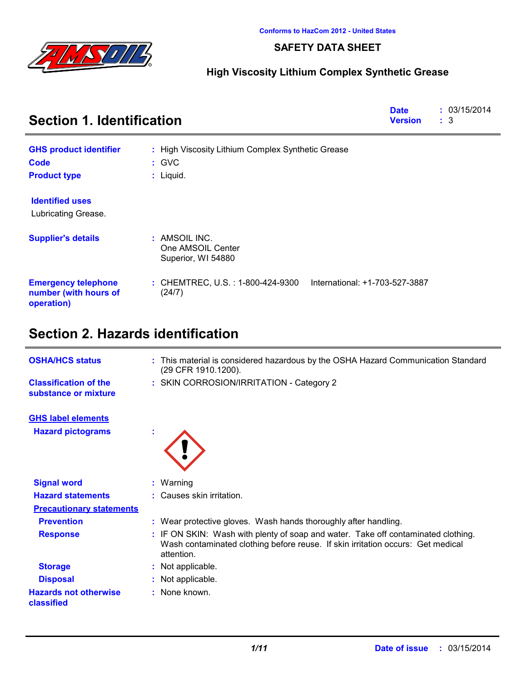

### **SAFETY DATA SHEET**

## **High Viscosity Lithium Complex Synthetic Grease**

| <b>Section 1. Identification</b>                                  | <b>Date</b><br><b>Version</b>                                                 | : 03/15/2014<br>$\mathbf{1}$ 3 |
|-------------------------------------------------------------------|-------------------------------------------------------------------------------|--------------------------------|
| <b>GHS product identifier</b>                                     | : High Viscosity Lithium Complex Synthetic Grease                             |                                |
| Code                                                              | $:$ GVC                                                                       |                                |
| <b>Product type</b>                                               | $:$ Liquid.                                                                   |                                |
| <b>Identified uses</b>                                            |                                                                               |                                |
| Lubricating Grease.                                               |                                                                               |                                |
| <b>Supplier's details</b>                                         | : AMSOIL INC.<br>One AMSOIL Center<br>Superior, WI 54880                      |                                |
| <b>Emergency telephone</b><br>number (with hours of<br>operation) | International: +1-703-527-3887<br>: CHEMTREC, U.S. : 1-800-424-9300<br>(24/7) |                                |

# **Section 2. Hazards identification**

| <b>OSHA/HCS status</b>                               | : This material is considered hazardous by the OSHA Hazard Communication Standard<br>(29 CFR 1910.1200).                                                                           |  |
|------------------------------------------------------|------------------------------------------------------------------------------------------------------------------------------------------------------------------------------------|--|
| <b>Classification of the</b><br>substance or mixture | : SKIN CORROSION/IRRITATION - Category 2                                                                                                                                           |  |
| <b>GHS label elements</b>                            |                                                                                                                                                                                    |  |
| <b>Hazard pictograms</b>                             |                                                                                                                                                                                    |  |
|                                                      |                                                                                                                                                                                    |  |
| <b>Signal word</b>                                   | $:$ Warning                                                                                                                                                                        |  |
| <b>Hazard statements</b>                             | : Causes skin irritation.                                                                                                                                                          |  |
| <b>Precautionary statements</b>                      |                                                                                                                                                                                    |  |
| <b>Prevention</b>                                    | : Wear protective gloves. Wash hands thoroughly after handling.                                                                                                                    |  |
| <b>Response</b>                                      | : IF ON SKIN: Wash with plenty of soap and water. Take off contaminated clothing.<br>Wash contaminated clothing before reuse. If skin irritation occurs: Get medical<br>attention. |  |
| <b>Storage</b>                                       | : Not applicable.                                                                                                                                                                  |  |
| <b>Disposal</b>                                      | : Not applicable.                                                                                                                                                                  |  |
| <b>Hazards not otherwise</b><br>classified           | $:$ None known.                                                                                                                                                                    |  |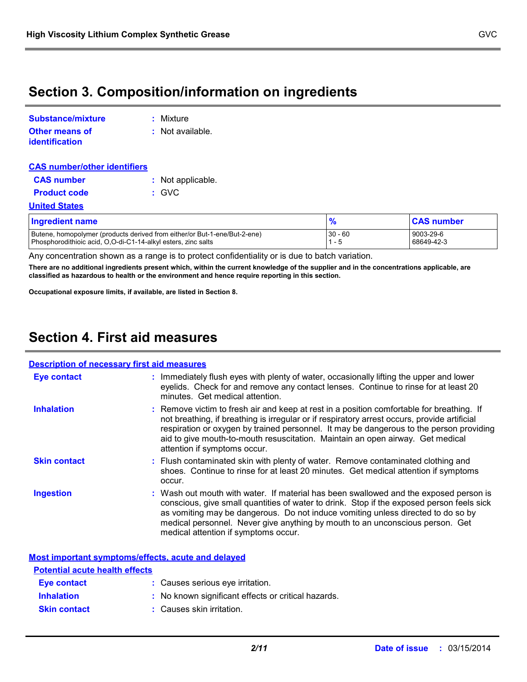## **Section 3. Composition/information on ingredients**

| <b>Substance/mixture</b>                | : Mixture          |
|-----------------------------------------|--------------------|
| <b>Other means of</b><br>identification | $:$ Not available. |

| <b>CAS number/other identifiers</b> |  |                   |  |
|-------------------------------------|--|-------------------|--|
| <b>CAS number</b>                   |  | : Not applicable. |  |
| <b>Product code</b>                 |  | : GVC             |  |
| <b>United States</b>                |  |                   |  |

| <b>Ingredient name</b>                                                                                                                     |           | <b>CAS number</b>       |
|--------------------------------------------------------------------------------------------------------------------------------------------|-----------|-------------------------|
| Butene, homopolymer (products derived from either/or But-1-ene/But-2-ene)<br>Phosphorodithioic acid, O.O-di-C1-14-alkyl esters, zinc salts | $30 - 60$ | 9003-29-6<br>68649-42-3 |

Any concentration shown as a range is to protect confidentiality or is due to batch variation.

**There are no additional ingredients present which, within the current knowledge of the supplier and in the concentrations applicable, are classified as hazardous to health or the environment and hence require reporting in this section.**

**Occupational exposure limits, if available, are listed in Section 8.**

## **Section 4. First aid measures**

#### : Wash out mouth with water. If material has been swallowed and the exposed person is conscious, give small quantities of water to drink. Stop if the exposed person feels sick as vomiting may be dangerous. Do not induce vomiting unless directed to do so by medical personnel. Never give anything by mouth to an unconscious person. Get medical attention if symptoms occur. **:** Immediately flush eyes with plenty of water, occasionally lifting the upper and lower eyelids. Check for and remove any contact lenses. Continue to rinse for at least 20 minutes. Get medical attention. Flush contaminated skin with plenty of water. Remove contaminated clothing and **:** shoes. Continue to rinse for at least 20 minutes. Get medical attention if symptoms occur. Remove victim to fresh air and keep at rest in a position comfortable for breathing. If **:** not breathing, if breathing is irregular or if respiratory arrest occurs, provide artificial respiration or oxygen by trained personnel. It may be dangerous to the person providing aid to give mouth-to-mouth resuscitation. Maintain an open airway. Get medical attention if symptoms occur. **Eye contact Skin contact Inhalation Ingestion : Description of necessary first aid measures**

|                                       | Most important symptoms/effects, acute and delayed  |
|---------------------------------------|-----------------------------------------------------|
| <b>Potential acute health effects</b> |                                                     |
| Eye contact                           | : Causes serious eye irritation.                    |
| <b>Inhalation</b>                     | : No known significant effects or critical hazards. |
| <b>Skin contact</b>                   | : Causes skin irritation.                           |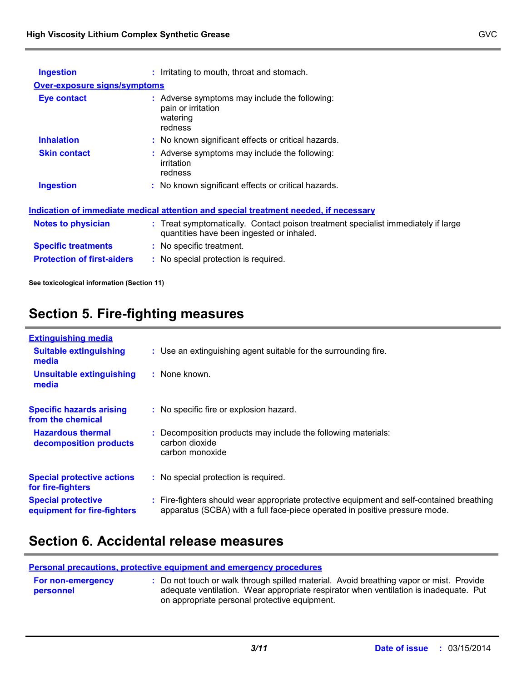| <b>Ingestion</b>                    | : Irritating to mouth, throat and stomach.                                                                                     |
|-------------------------------------|--------------------------------------------------------------------------------------------------------------------------------|
| <b>Over-exposure signs/symptoms</b> |                                                                                                                                |
| <b>Eye contact</b>                  | : Adverse symptoms may include the following:<br>pain or irritation<br>watering<br>redness                                     |
| <b>Inhalation</b>                   | : No known significant effects or critical hazards.                                                                            |
| <b>Skin contact</b>                 | : Adverse symptoms may include the following:<br>irritation<br>redness                                                         |
| <b>Ingestion</b>                    | : No known significant effects or critical hazards.                                                                            |
|                                     | <u>Indication of immediate medical attention and special treatment needed, if necessary</u>                                    |
| <b>Notes to physician</b>           | : Treat symptomatically. Contact poison treatment specialist immediately if large<br>quantities have been ingested or inhaled. |
| <b>Specific treatments</b>          | : No specific treatment.                                                                                                       |
| <b>Protection of first-aiders</b>   | : No special protection is required.                                                                                           |

**See toxicological information (Section 11)**

# **Section 5. Fire-fighting measures**

| <b>Extinguishing media</b>                               |                                                                                                                                                                        |
|----------------------------------------------------------|------------------------------------------------------------------------------------------------------------------------------------------------------------------------|
| <b>Suitable extinguishing</b><br>media                   | : Use an extinguishing agent suitable for the surrounding fire.                                                                                                        |
| <b>Unsuitable extinguishing</b><br>media                 | : None known.                                                                                                                                                          |
| <b>Specific hazards arising</b><br>from the chemical     | : No specific fire or explosion hazard.                                                                                                                                |
| <b>Hazardous thermal</b><br>decomposition products       | Decomposition products may include the following materials:<br>carbon dioxide<br>carbon monoxide                                                                       |
| <b>Special protective actions</b><br>for fire-fighters   | : No special protection is required.                                                                                                                                   |
| <b>Special protective</b><br>equipment for fire-fighters | Fire-fighters should wear appropriate protective equipment and self-contained breathing<br>apparatus (SCBA) with a full face-piece operated in positive pressure mode. |

## **Section 6. Accidental release measures**

|                                       | <b>Personal precautions, protective equipment and emergency procedures</b>                                                                                                                                                        |
|---------------------------------------|-----------------------------------------------------------------------------------------------------------------------------------------------------------------------------------------------------------------------------------|
| <b>For non-emergency</b><br>personnel | : Do not touch or walk through spilled material. Avoid breathing vapor or mist. Provide<br>adequate ventilation. Wear appropriate respirator when ventilation is inadequate. Put<br>on appropriate personal protective equipment. |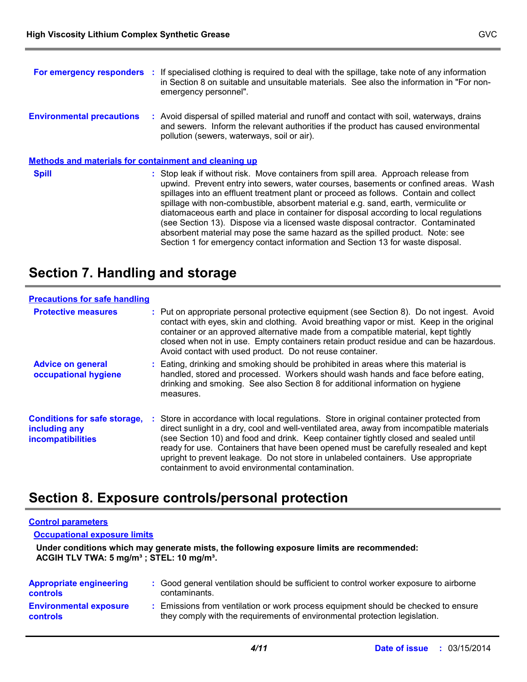|                                                              | For emergency responders : If specialised clothing is required to deal with the spillage, take note of any information<br>in Section 8 on suitable and unsuitable materials. See also the information in "For non-<br>emergency personnel".                                                                                                                                                                                                                                                                                                                                                                                                                                                               |
|--------------------------------------------------------------|-----------------------------------------------------------------------------------------------------------------------------------------------------------------------------------------------------------------------------------------------------------------------------------------------------------------------------------------------------------------------------------------------------------------------------------------------------------------------------------------------------------------------------------------------------------------------------------------------------------------------------------------------------------------------------------------------------------|
| <b>Environmental precautions</b>                             | : Avoid dispersal of spilled material and runoff and contact with soil, waterways, drains<br>and sewers. Inform the relevant authorities if the product has caused environmental<br>pollution (sewers, waterways, soil or air).                                                                                                                                                                                                                                                                                                                                                                                                                                                                           |
| <b>Methods and materials for containment and cleaning up</b> |                                                                                                                                                                                                                                                                                                                                                                                                                                                                                                                                                                                                                                                                                                           |
| <b>Spill</b>                                                 | : Stop leak if without risk. Move containers from spill area. Approach release from<br>upwind. Prevent entry into sewers, water courses, basements or confined areas. Wash<br>spillages into an effluent treatment plant or proceed as follows. Contain and collect<br>spillage with non-combustible, absorbent material e.g. sand, earth, vermiculite or<br>diatomaceous earth and place in container for disposal according to local regulations<br>(see Section 13). Dispose via a licensed waste disposal contractor. Contaminated<br>absorbent material may pose the same hazard as the spilled product. Note: see<br>Section 1 for emergency contact information and Section 13 for waste disposal. |

# **Section 7. Handling and storage**

| <b>Precautions for safe handling</b>                                             |                                                                                                                                                                                                                                                                                                                                                                                                                                                                                                             |
|----------------------------------------------------------------------------------|-------------------------------------------------------------------------------------------------------------------------------------------------------------------------------------------------------------------------------------------------------------------------------------------------------------------------------------------------------------------------------------------------------------------------------------------------------------------------------------------------------------|
| <b>Protective measures</b>                                                       | : Put on appropriate personal protective equipment (see Section 8). Do not ingest. Avoid<br>contact with eyes, skin and clothing. Avoid breathing vapor or mist. Keep in the original<br>container or an approved alternative made from a compatible material, kept tightly<br>closed when not in use. Empty containers retain product residue and can be hazardous.<br>Avoid contact with used product. Do not reuse container.                                                                            |
| <b>Advice on general</b><br>occupational hygiene                                 | : Eating, drinking and smoking should be prohibited in areas where this material is<br>handled, stored and processed. Workers should wash hands and face before eating,<br>drinking and smoking. See also Section 8 for additional information on hygiene<br>measures.                                                                                                                                                                                                                                      |
| <b>Conditions for safe storage,</b><br>including any<br><b>incompatibilities</b> | Store in accordance with local regulations. Store in original container protected from<br>direct sunlight in a dry, cool and well-ventilated area, away from incompatible materials<br>(see Section 10) and food and drink. Keep container tightly closed and sealed until<br>ready for use. Containers that have been opened must be carefully resealed and kept<br>upright to prevent leakage. Do not store in unlabeled containers. Use appropriate<br>containment to avoid environmental contamination. |

# **Section 8. Exposure controls/personal protection**

#### **Control parameters**

**Occupational exposure limits**

**Under conditions which may generate mists, the following exposure limits are recommended: ACGIH TLV TWA: 5 mg/m³ ; STEL: 10 mg/m³.**

| <b>Appropriate engineering</b><br><b>controls</b> | : Good general ventilation should be sufficient to control worker exposure to airborne<br>contaminants.                                                          |
|---------------------------------------------------|------------------------------------------------------------------------------------------------------------------------------------------------------------------|
| <b>Environmental exposure</b><br><b>controls</b>  | : Emissions from ventilation or work process equipment should be checked to ensure<br>they comply with the requirements of environmental protection legislation. |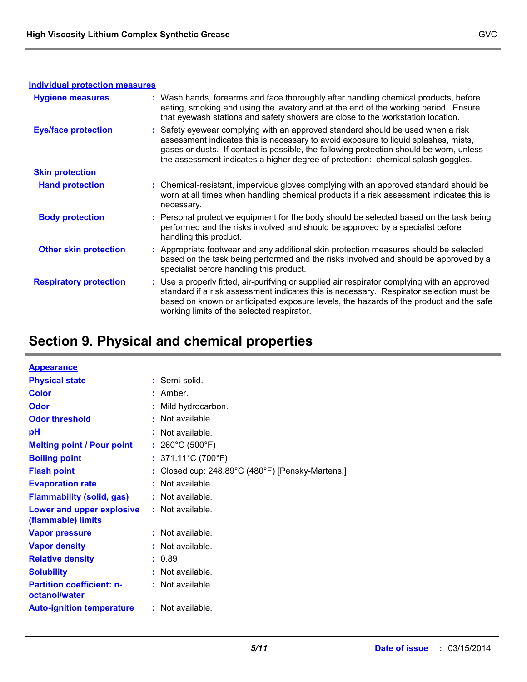| <b>Individual protection measures</b> |                                                                                                                                                                                                                                                                                                                                                       |
|---------------------------------------|-------------------------------------------------------------------------------------------------------------------------------------------------------------------------------------------------------------------------------------------------------------------------------------------------------------------------------------------------------|
| <b>Hygiene measures</b>               | : Wash hands, forearms and face thoroughly after handling chemical products, before<br>eating, smoking and using the lavatory and at the end of the working period. Ensure<br>that eyewash stations and safety showers are close to the workstation location.                                                                                         |
| <b>Eye/face protection</b>            | : Safety eyewear complying with an approved standard should be used when a risk<br>assessment indicates this is necessary to avoid exposure to liquid splashes, mists,<br>gases or dusts. If contact is possible, the following protection should be worn, unless<br>the assessment indicates a higher degree of protection: chemical splash goggles. |
| <b>Skin protection</b>                |                                                                                                                                                                                                                                                                                                                                                       |
| <b>Hand protection</b>                | : Chemical-resistant, impervious gloves complying with an approved standard should be<br>worn at all times when handling chemical products if a risk assessment indicates this is<br>necessary.                                                                                                                                                       |
| <b>Body protection</b>                | : Personal protective equipment for the body should be selected based on the task being<br>performed and the risks involved and should be approved by a specialist before<br>handling this product.                                                                                                                                                   |
| <b>Other skin protection</b>          | : Appropriate footwear and any additional skin protection measures should be selected<br>based on the task being performed and the risks involved and should be approved by a<br>specialist before handling this product.                                                                                                                             |
| <b>Respiratory protection</b>         | : Use a properly fitted, air-purifying or supplied air respirator complying with an approved<br>standard if a risk assessment indicates this is necessary. Respirator selection must be<br>based on known or anticipated exposure levels, the hazards of the product and the safe<br>working limits of the selected respirator.                       |

# **Section 9. Physical and chemical properties**

| <b>Appearance</b>                                 |                                                |
|---------------------------------------------------|------------------------------------------------|
| <b>Physical state</b>                             | : Semi-solid.                                  |
| <b>Color</b>                                      | : Amber.                                       |
| Odor                                              | Mild hydrocarbon.                              |
| <b>Odor threshold</b>                             | $:$ Not available.                             |
| рH                                                | $:$ Not available.                             |
| <b>Melting point / Pour point</b>                 | : 260°C (500°F)                                |
| <b>Boiling point</b>                              | : $371.11^{\circ}$ C (700 $^{\circ}$ F)        |
| <b>Flash point</b>                                | Closed cup: 248.89°C (480°F) [Pensky-Martens.] |
| <b>Evaporation rate</b>                           | Not available.                                 |
| <b>Flammability (solid, gas)</b>                  | $:$ Not available.                             |
| Lower and upper explosive<br>(flammable) limits   | : Not available.                               |
| <b>Vapor pressure</b>                             | : Not available.                               |
| <b>Vapor density</b>                              | : Not available.                               |
| <b>Relative density</b>                           | : 0.89                                         |
| <b>Solubility</b>                                 | $:$ Not available.                             |
| <b>Partition coefficient: n-</b><br>octanol/water | $:$ Not available.                             |
| <b>Auto-ignition temperature</b>                  | $:$ Not available.                             |

#### *5/11* **Date of issue :**03/15/2014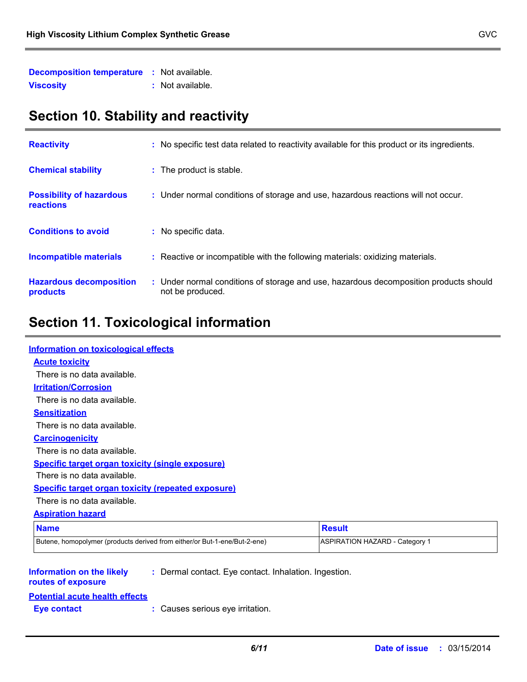| <b>Decomposition temperature</b> | : Not available. |
|----------------------------------|------------------|
| <b>Viscosity</b>                 | : Not available. |

# **Section 10. Stability and reactivity**

| <b>Reactivity</b>                            | : No specific test data related to reactivity available for this product or its ingredients.              |
|----------------------------------------------|-----------------------------------------------------------------------------------------------------------|
| <b>Chemical stability</b>                    | : The product is stable.                                                                                  |
| <b>Possibility of hazardous</b><br>reactions | : Under normal conditions of storage and use, hazardous reactions will not occur.                         |
| <b>Conditions to avoid</b>                   | : No specific data.                                                                                       |
| <b>Incompatible materials</b>                | : Reactive or incompatible with the following materials: oxidizing materials.                             |
| <b>Hazardous decomposition</b><br>products   | : Under normal conditions of storage and use, hazardous decomposition products should<br>not be produced. |

# **Section 11. Toxicological information**

| <b>Information on toxicological effects</b>                                                                     |                                       |
|-----------------------------------------------------------------------------------------------------------------|---------------------------------------|
| <b>Acute toxicity</b>                                                                                           |                                       |
| There is no data available.                                                                                     |                                       |
| <b>Irritation/Corrosion</b>                                                                                     |                                       |
| There is no data available.                                                                                     |                                       |
| <b>Sensitization</b>                                                                                            |                                       |
| There is no data available.                                                                                     |                                       |
| <b>Carcinogenicity</b>                                                                                          |                                       |
| There is no data available.                                                                                     |                                       |
| <b>Specific target organ toxicity (single exposure)</b>                                                         |                                       |
| There is no data available.                                                                                     |                                       |
| <b>Specific target organ toxicity (repeated exposure)</b>                                                       |                                       |
| There is no data available.                                                                                     |                                       |
| <b>Aspiration hazard</b>                                                                                        |                                       |
| <b>Name</b>                                                                                                     | <b>Result</b>                         |
| Butene, homopolymer (products derived from either/or But-1-ene/But-2-ene)                                       | <b>ASPIRATION HAZARD - Category 1</b> |
|                                                                                                                 |                                       |
| <b>Information on the likely</b><br>: Dermal contact. Eye contact. Inhalation. Ingestion.<br>routes of exposure |                                       |
| <b>Potential acute health effects</b>                                                                           |                                       |
| : Causes serious eye irritation.<br><b>Eye contact</b>                                                          |                                       |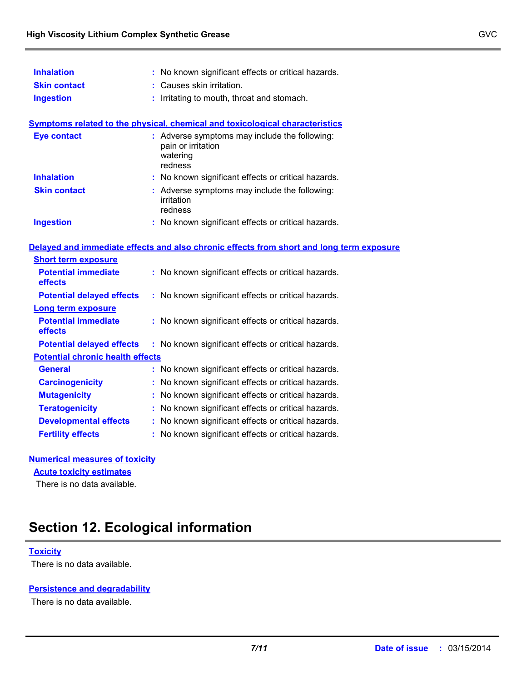| <b>Inhalation</b>                       | : No known significant effects or critical hazards.                                        |
|-----------------------------------------|--------------------------------------------------------------------------------------------|
| <b>Skin contact</b>                     | : Causes skin irritation.                                                                  |
| <b>Ingestion</b>                        | Irritating to mouth, throat and stomach.                                                   |
|                                         | <b>Symptoms related to the physical, chemical and toxicological characteristics</b>        |
| <b>Eye contact</b>                      | : Adverse symptoms may include the following:<br>pain or irritation<br>watering<br>redness |
| <b>Inhalation</b>                       | : No known significant effects or critical hazards.                                        |
| <b>Skin contact</b>                     | : Adverse symptoms may include the following:<br>irritation<br>redness                     |
| <b>Ingestion</b>                        | : No known significant effects or critical hazards.                                        |
|                                         | Delayed and immediate effects and also chronic effects from short and long term exposure   |
| <b>Short term exposure</b>              |                                                                                            |
| <b>Potential immediate</b><br>effects   | : No known significant effects or critical hazards.                                        |
| <b>Potential delayed effects</b>        | : No known significant effects or critical hazards.                                        |
| Long term exposure                      |                                                                                            |
| <b>Potential immediate</b><br>effects   | : No known significant effects or critical hazards.                                        |
| <b>Potential delayed effects</b>        | : No known significant effects or critical hazards.                                        |
| <b>Potential chronic health effects</b> |                                                                                            |
| <b>General</b>                          | : No known significant effects or critical hazards.                                        |
| <b>Carcinogenicity</b>                  | : No known significant effects or critical hazards.                                        |
| <b>Mutagenicity</b>                     | No known significant effects or critical hazards.                                          |
| <b>Teratogenicity</b>                   | No known significant effects or critical hazards.                                          |
| <b>Developmental effects</b>            | : No known significant effects or critical hazards.                                        |
| <b>Fertility effects</b>                | : No known significant effects or critical hazards.                                        |
|                                         |                                                                                            |

### **Numerical measures of toxicity**

**Acute toxicity estimates**

There is no data available.

## **Section 12. Ecological information**

### **Toxicity**

There is no data available.

#### **Persistence and degradability**

There is no data available.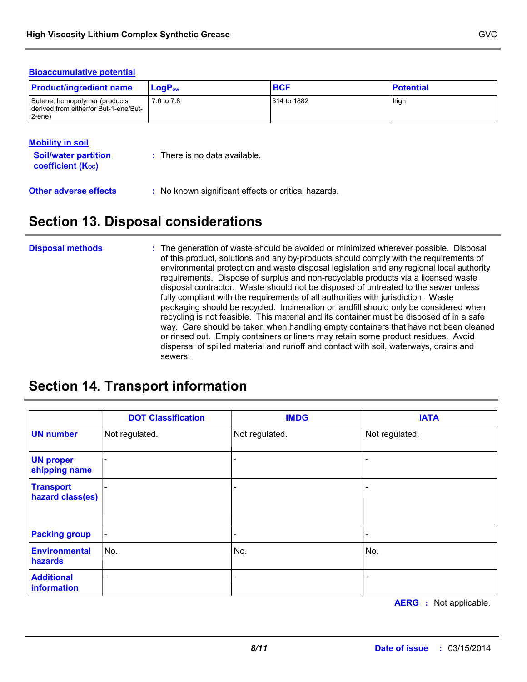#### **Bioaccumulative potential**

| <b>Product/ingredient name</b>                                                     | $LoaPow$   | <b>BCF</b>  | <b>Potential</b> |
|------------------------------------------------------------------------------------|------------|-------------|------------------|
| Butene, homopolymer (products<br>I derived from either/or But-1-ene/But-<br>2-ene) | 7.6 to 7.8 | 314 to 1882 | hiah             |

#### **Mobility in soil**

| <b>Soil/water partition</b><br>coefficient (K <sub>oc</sub> ) | $\therefore$ There is no data available.            |
|---------------------------------------------------------------|-----------------------------------------------------|
| <b>Other adverse effects</b>                                  | : No known significant effects or critical hazards. |

## **Section 13. Disposal considerations**

#### The generation of waste should be avoided or minimized wherever possible. Disposal of this product, solutions and any by-products should comply with the requirements of environmental protection and waste disposal legislation and any regional local authority requirements. Dispose of surplus and non-recyclable products via a licensed waste disposal contractor. Waste should not be disposed of untreated to the sewer unless fully compliant with the requirements of all authorities with jurisdiction. Waste packaging should be recycled. Incineration or landfill should only be considered when recycling is not feasible. This material and its container must be disposed of in a safe way. Care should be taken when handling empty containers that have not been cleaned or rinsed out. Empty containers or liners may retain some product residues. Avoid dispersal of spilled material and runoff and contact with soil, waterways, drains and sewers. **Disposal methods :**

## **Section 14. Transport information**

|                                      | <b>DOT Classification</b>    | <b>IMDG</b>              | <b>IATA</b>              |
|--------------------------------------|------------------------------|--------------------------|--------------------------|
| <b>UN number</b>                     | Not regulated.               | Not regulated.           | Not regulated.           |
| <b>UN proper</b><br>shipping name    | $\overline{a}$               |                          |                          |
| <b>Transport</b><br>hazard class(es) |                              |                          | $\overline{\phantom{0}}$ |
| <b>Packing group</b>                 | $\qquad \qquad \blacksquare$ | $\overline{\phantom{0}}$ | -                        |
| <b>Environmental</b><br>hazards      | No.                          | No.                      | No.                      |
| <b>Additional</b><br>information     |                              |                          |                          |

**AERG :** Not applicable.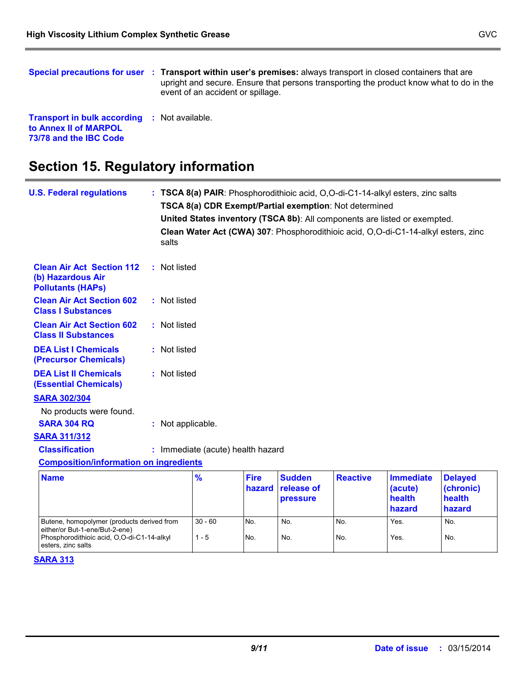**Transport in bulk according :** Not available. **to Annex II of MARPOL 73/78 and the IBC Code**

## **Section 15. Regulatory information**

| <b>U.S. Federal regulations</b>                                                                                                                  | salts             |                                   |                       | TSCA 8(a) CDR Exempt/Partial exemption: Not determined |                 | : TSCA 8(a) PAIR: Phosphorodithioic acid, O,O-di-C1-14-alkyl esters, zinc salts<br>United States inventory (TSCA 8b): All components are listed or exempted.<br>Clean Water Act (CWA) 307: Phosphorodithioic acid, O,O-di-C1-14-alkyl esters, zinc |                                                 |
|--------------------------------------------------------------------------------------------------------------------------------------------------|-------------------|-----------------------------------|-----------------------|--------------------------------------------------------|-----------------|----------------------------------------------------------------------------------------------------------------------------------------------------------------------------------------------------------------------------------------------------|-------------------------------------------------|
| <b>Clean Air Act Section 112</b><br>(b) Hazardous Air<br><b>Pollutants (HAPs)</b>                                                                | : Not listed      |                                   |                       |                                                        |                 |                                                                                                                                                                                                                                                    |                                                 |
| <b>Clean Air Act Section 602</b><br><b>Class I Substances</b>                                                                                    | : Not listed      |                                   |                       |                                                        |                 |                                                                                                                                                                                                                                                    |                                                 |
| <b>Clean Air Act Section 602</b><br><b>Class II Substances</b>                                                                                   | : Not listed      |                                   |                       |                                                        |                 |                                                                                                                                                                                                                                                    |                                                 |
| <b>DEA List I Chemicals</b><br>(Precursor Chemicals)                                                                                             | : Not listed      |                                   |                       |                                                        |                 |                                                                                                                                                                                                                                                    |                                                 |
| <b>DEA List II Chemicals</b><br><b>(Essential Chemicals)</b>                                                                                     | : Not listed      |                                   |                       |                                                        |                 |                                                                                                                                                                                                                                                    |                                                 |
| <b>SARA 302/304</b><br>No products were found.<br><b>SARA 304 RQ</b>                                                                             | : Not applicable. |                                   |                       |                                                        |                 |                                                                                                                                                                                                                                                    |                                                 |
| <b>SARA 311/312</b>                                                                                                                              |                   |                                   |                       |                                                        |                 |                                                                                                                                                                                                                                                    |                                                 |
| <b>Classification</b>                                                                                                                            |                   | : Immediate (acute) health hazard |                       |                                                        |                 |                                                                                                                                                                                                                                                    |                                                 |
| <b>Composition/information on ingredients</b>                                                                                                    |                   |                                   |                       |                                                        |                 |                                                                                                                                                                                                                                                    |                                                 |
| <b>Name</b>                                                                                                                                      |                   | %                                 | <b>Fire</b><br>hazard | <b>Sudden</b><br>release of<br>pressure                | <b>Reactive</b> | <b>Immediate</b><br>(acute)<br>health<br>hazard                                                                                                                                                                                                    | <b>Delayed</b><br>(chronic)<br>health<br>hazard |
| Butene, homopolymer (products derived from<br>either/or But-1-ene/But-2-ene)<br>Phosphorodithioic acid, O,O-di-C1-14-alkyl<br>esters, zinc salts |                   | $30 - 60$<br>$1 - 5$              | No.<br>No.            | No.<br>No.                                             | No.<br>No.      | Yes.<br>Yes.                                                                                                                                                                                                                                       | No.<br>No.                                      |

#### **SARA 313**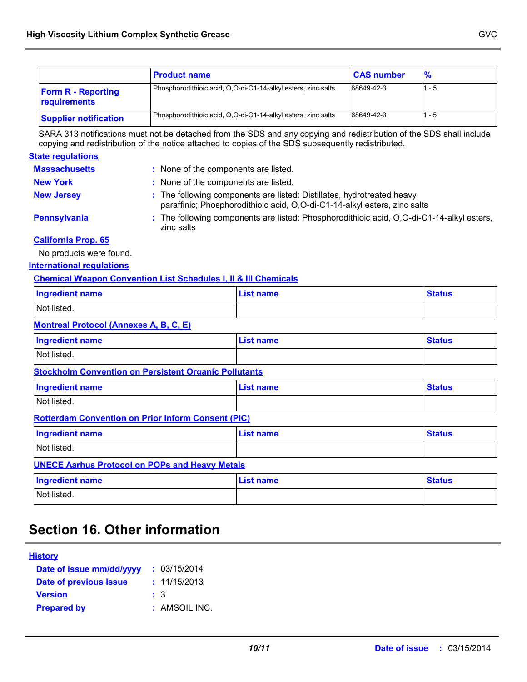|                                           | <b>Product name</b>                                           | <b>CAS number</b> | $\frac{9}{6}$ |
|-------------------------------------------|---------------------------------------------------------------|-------------------|---------------|
| <b>Form R - Reporting</b><br>requirements | Phosphorodithioic acid, O,O-di-C1-14-alkyl esters, zinc salts | 68649-42-3        | 1 - 5         |
| <b>Supplier notification</b>              | Phosphorodithioic acid, O,O-di-C1-14-alkyl esters, zinc salts | 68649-42-3        | 1 - 5         |

SARA 313 notifications must not be detached from the SDS and any copying and redistribution of the SDS shall include copying and redistribution of the notice attached to copies of the SDS subsequently redistributed.

#### **State regulations**

| <b>Massachusetts</b> | : None of the components are listed.                                                                                                                |
|----------------------|-----------------------------------------------------------------------------------------------------------------------------------------------------|
| <b>New York</b>      | : None of the components are listed.                                                                                                                |
| <b>New Jersey</b>    | : The following components are listed: Distillates, hydrotreated heavy<br>paraffinic; Phosphorodithioic acid, O,O-di-C1-14-alkyl esters, zinc salts |
| Pennsylvania         | : The following components are listed: Phosphorodithioic acid, O,O-di-C1-14-alkyl esters,<br>zinc salts                                             |

#### **California Prop. 65**

No products were found.

#### **International regulations**

#### **Chemical Weapon Convention List Schedules I, II & III Chemicals**

| <b>Ingredient name</b> | <b>List name</b> | <b>Status</b> |
|------------------------|------------------|---------------|
| Not listed.            |                  |               |
|                        |                  |               |

#### **Montreal Protocol (Annexes A, B, C, E)**

| Ingredient name | <b>List name</b> | <b>Status</b> |
|-----------------|------------------|---------------|
| Not listed.     |                  |               |

#### **Stockholm Convention on Persistent Organic Pollutants**

| <b>Ingredient name</b> | <b>List name</b> | <b>Status</b> |
|------------------------|------------------|---------------|
| Not listed.            |                  |               |

#### **Rotterdam Convention on Prior Inform Consent (PIC)**

| <b>Ingredient name</b>                                 | List name | <b>Status</b> |
|--------------------------------------------------------|-----------|---------------|
| Not listed.                                            |           |               |
| <b>IINECE Aschus Protocol on PODs and Hoavy Motals</b> |           |               |

#### **UNECE Aarhus Protocol on POPs and Heavy Metals**

| <b>Ingredient name</b> | List name | <b>Status</b> |
|------------------------|-----------|---------------|
| Not listed.            |           |               |

## **Section 16. Other information**

| <b>History</b>           |               |
|--------------------------|---------------|
| Date of issue mm/dd/yyyy | : 03/15/2014  |
| Date of previous issue   | : 11/15/2013  |
| <b>Version</b>           | : 3           |
| <b>Prepared by</b>       | : AMSOIL INC. |